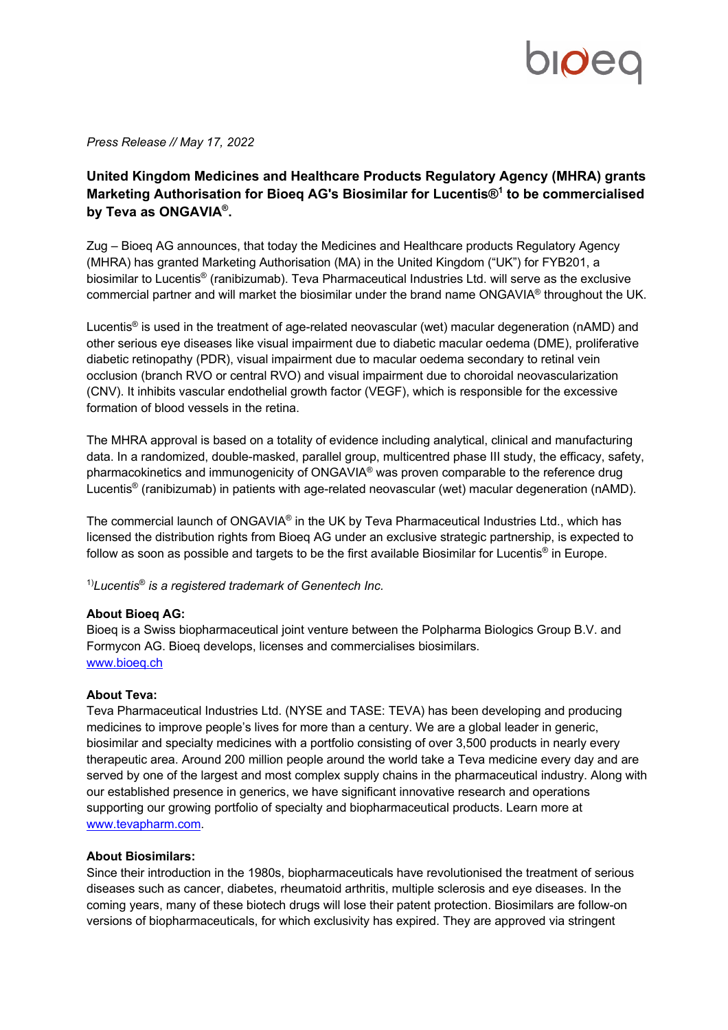

*Press Release // May 17, 2022*

## **United Kingdom Medicines and Healthcare Products Regulatory Agency (MHRA) grants Marketing Authorisation for Bioeq AG's Biosimilar for Lucentis®1 to be commercialised by Teva as ONGAVIA®.**

Zug – Bioeq AG announces, that today the Medicines and Healthcare products Regulatory Agency (MHRA) has granted Marketing Authorisation (MA) in the United Kingdom ("UK") for FYB201, a biosimilar to Lucentis® (ranibizumab). Teva Pharmaceutical Industries Ltd. will serve as the exclusive commercial partner and will market the biosimilar under the brand name ONGAVIA® throughout the UK.

Lucentis® is used in the treatment of age-related neovascular (wet) macular degeneration (nAMD) and other serious eye diseases like visual impairment due to diabetic macular oedema (DME), proliferative diabetic retinopathy (PDR), visual impairment due to macular oedema secondary to retinal vein occlusion (branch RVO or central RVO) and visual impairment due to choroidal neovascularization (CNV). It inhibits vascular endothelial growth factor (VEGF), which is responsible for the excessive formation of blood vessels in the retina.

The MHRA approval is based on a totality of evidence including analytical, clinical and manufacturing data. In a randomized, double-masked, parallel group, multicentred phase III study, the efficacy, safety, pharmacokinetics and immunogenicity of ONGAVIA® was proven comparable to the reference drug Lucentis® (ranibizumab) in patients with age-related neovascular (wet) macular degeneration (nAMD).

The commercial launch of ONGAVIA® in the UK by Teva Pharmaceutical Industries Ltd., which has licensed the distribution rights from Bioeq AG under an exclusive strategic partnership, is expected to follow as soon as possible and targets to be the first available Biosimilar for Lucentis<sup>®</sup> in Europe.

1)*Lucentis*® *is a registered trademark of Genentech Inc.*

## **About Bioeq AG:**

Bioeq is a Swiss biopharmaceutical joint venture between the Polpharma Biologics Group B.V. and Formycon AG. Bioeq develops, licenses and commercialises biosimilars. www.bioeq.ch

## **About Teva:**

Teva Pharmaceutical Industries Ltd. (NYSE and TASE: TEVA) has been developing and producing medicines to improve people's lives for more than a century. We are a global leader in generic, biosimilar and specialty medicines with a portfolio consisting of over 3,500 products in nearly every therapeutic area. Around 200 million people around the world take a Teva medicine every day and are served by one of the largest and most complex supply chains in the pharmaceutical industry. Along with our established presence in generics, we have significant innovative research and operations supporting our growing portfolio of specialty and biopharmaceutical products. Learn more at www.tevapharm.com.

## **About Biosimilars:**

Since their introduction in the 1980s, biopharmaceuticals have revolutionised the treatment of serious diseases such as cancer, diabetes, rheumatoid arthritis, multiple sclerosis and eye diseases. In the coming years, many of these biotech drugs will lose their patent protection. Biosimilars are follow-on versions of biopharmaceuticals, for which exclusivity has expired. They are approved via stringent